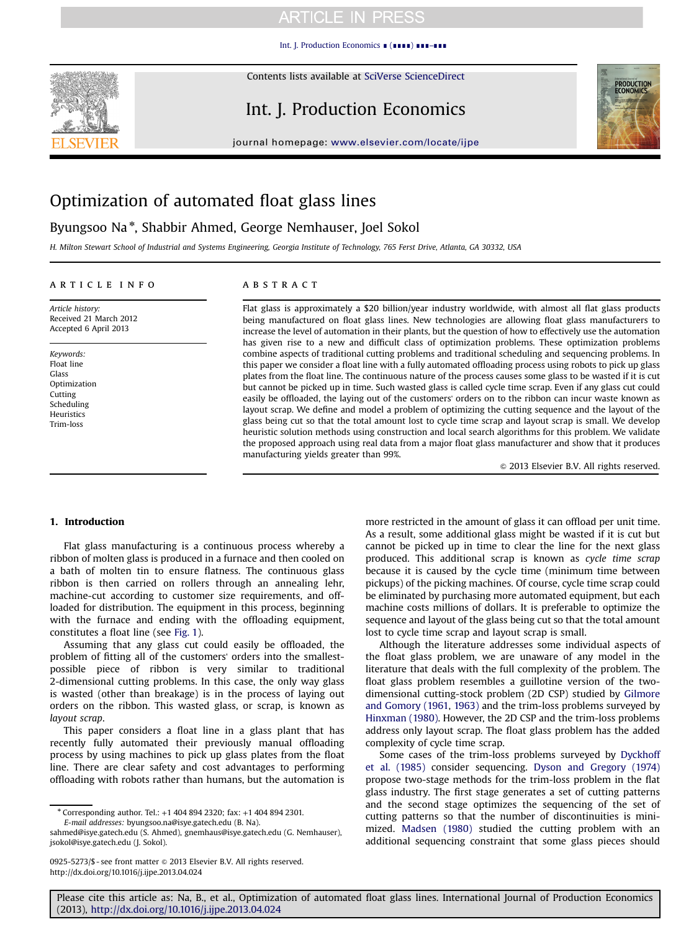## **ARTICLE IN PRESS**

[Int. J. Production Economics](http://dx.doi.org/10.1016/j.ijpe.2013.04.024) ∎ (∎∎∎∎) ∎∎∎–∎∎∎



Contents lists available at [SciVerse ScienceDirect](www.elsevier.com/locate/ijpe)

## Int. J. Production Economics



journal homepage: <www.elsevier.com/locate/ijpe>

## Optimization of automated float glass lines

Byungsoo Na\*, Shabbir Ahmed, George Nemhauser, Joel Sokol

H. Milton Stewart School of Industrial and Systems Engineering, Georgia Institute of Technology, 765 Ferst Drive, Atlanta, GA 30332, USA

### article info

Article history: Received 21 March 2012 Accepted 6 April 2013

Keywords: Float line Glass Optimization Cutting Scheduling **Heuristics** Trim-loss

### **ABSTRACT**

Flat glass is approximately a \$20 billion/year industry worldwide, with almost all flat glass products being manufactured on float glass lines. New technologies are allowing float glass manufacturers to increase the level of automation in their plants, but the question of how to effectively use the automation has given rise to a new and difficult class of optimization problems. These optimization problems combine aspects of traditional cutting problems and traditional scheduling and sequencing problems. In this paper we consider a float line with a fully automated offloading process using robots to pick up glass plates from the float line. The continuous nature of the process causes some glass to be wasted if it is cut but cannot be picked up in time. Such wasted glass is called cycle time scrap. Even if any glass cut could easily be offloaded, the laying out of the customers' orders on to the ribbon can incur waste known as layout scrap. We define and model a problem of optimizing the cutting sequence and the layout of the glass being cut so that the total amount lost to cycle time scrap and layout scrap is small. We develop heuristic solution methods using construction and local search algorithms for this problem. We validate the proposed approach using real data from a major float glass manufacturer and show that it produces manufacturing yields greater than 99%.

 $\odot$  2013 Elsevier B.V. All rights reserved.

### 1. Introduction

Flat glass manufacturing is a continuous process whereby a ribbon of molten glass is produced in a furnace and then cooled on a bath of molten tin to ensure flatness. The continuous glass ribbon is then carried on rollers through an annealing lehr, machine-cut according to customer size requirements, and offloaded for distribution. The equipment in this process, beginning with the furnace and ending with the offloading equipment, constitutes a float line (see [Fig. 1](#page-1-0)).

Assuming that any glass cut could easily be offloaded, the problem of fitting all of the customers' orders into the smallestpossible piece of ribbon is very similar to traditional 2-dimensional cutting problems. In this case, the only way glass is wasted (other than breakage) is in the process of laying out orders on the ribbon. This wasted glass, or scrap, is known as layout scrap.

This paper considers a float line in a glass plant that has recently fully automated their previously manual offloading process by using machines to pick up glass plates from the float line. There are clear safety and cost advantages to performing offloading with robots rather than humans, but the automation is

more restricted in the amount of glass it can offload per unit time. As a result, some additional glass might be wasted if it is cut but cannot be picked up in time to clear the line for the next glass produced. This additional scrap is known as cycle time scrap because it is caused by the cycle time (minimum time between pickups) of the picking machines. Of course, cycle time scrap could be eliminated by purchasing more automated equipment, but each machine costs millions of dollars. It is preferable to optimize the sequence and layout of the glass being cut so that the total amount lost to cycle time scrap and layout scrap is small.

Although the literature addresses some individual aspects of the float glass problem, we are unaware of any model in the literature that deals with the full complexity of the problem. The float glass problem resembles a guillotine version of the twodimensional cutting-stock problem (2D CSP) studied by [Gilmore](#page--1-0) [and Gomory \(1961](#page--1-0), [1963\)](#page--1-0) and the trim-loss problems surveyed by [Hinxman \(1980\)](#page--1-0). However, the 2D CSP and the trim-loss problems address only layout scrap. The float glass problem has the added complexity of cycle time scrap.

Some cases of the trim-loss problems surveyed by [Dyckhoff](#page--1-0) [et al. \(1985\)](#page--1-0) consider sequencing. [Dyson and Gregory \(1974\)](#page--1-0) propose two-stage methods for the trim-loss problem in the flat glass industry. The first stage generates a set of cutting patterns and the second stage optimizes the sequencing of the set of cutting patterns so that the number of discontinuities is minimized. [Madsen \(1980\)](#page--1-0) studied the cutting problem with an additional sequencing constraint that some glass pieces should

Please cite this article as: Na, B., et al., Optimization of automated float glass lines. International Journal of Production Economics (2013), [http://dx.doi.org/10.1016/j.ijpe.2013.04.024i](http://dx.doi.org/10.1016/j.ijpe.2013.04.024)

<sup>n</sup> Corresponding author. Tel.: +1 404 894 2320; fax: +1 404 894 2301. E-mail addresses: [byungsoo.na@isye.gatech.edu \(B. Na\)](mailto:byungsoo.na@isye.gatech.edu).

[sahmed@isye.gatech.edu \(S. Ahmed\),](mailto:sahmed@isye.gatech.edu) [gnemhaus@isye.gatech.edu \(G. Nemhauser\),](mailto:gnemhaus@isye.gatech.edu) [jsokol@isye.gatech.edu \(J. Sokol\).](mailto:jsokol@isye.gatech.edu)

<sup>0925-5273/\$ -</sup> see front matter @ 2013 Elsevier B.V. All rights reserved. <http://dx.doi.org/10.1016/j.ijpe.2013.04.024>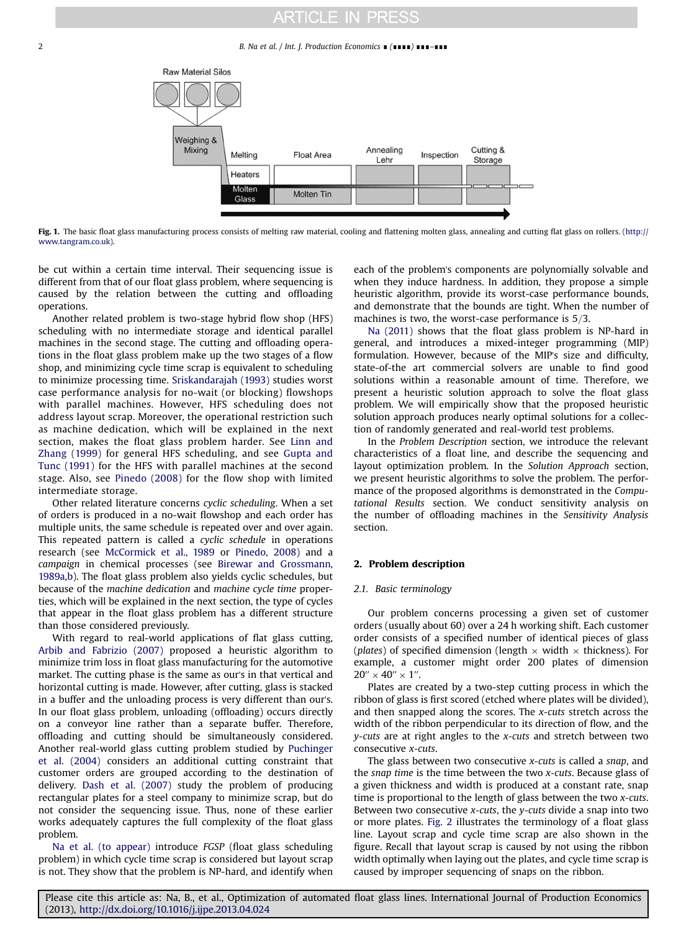## **ARTICLE IN PRESS**

<span id="page-1-0"></span>2 B. Na et al. / Int. J. Production Economics ∎ (∎∎∎∎) ∎∎∎–∎∎∎



Fig. 1. The basic float glass manufacturing process consists of melting raw material, cooling and flattening molten glass, annealing and cutting flat glass on rollers. [\(http://](#page--1-0) [www.tangram.co.uk\)](#page--1-0).

be cut within a certain time interval. Their sequencing issue is different from that of our float glass problem, where sequencing is caused by the relation between the cutting and offloading operations.

Another related problem is two-stage hybrid flow shop (HFS) scheduling with no intermediate storage and identical parallel machines in the second stage. The cutting and offloading operations in the float glass problem make up the two stages of a flow shop, and minimizing cycle time scrap is equivalent to scheduling to minimize processing time. [Sriskandarajah \(1993\)](#page--1-0) studies worst case performance analysis for no-wait (or blocking) flowshops with parallel machines. However, HFS scheduling does not address layout scrap. Moreover, the operational restriction such as machine dedication, which will be explained in the next section, makes the float glass problem harder. See [Linn and](#page--1-0) [Zhang \(1999\)](#page--1-0) for general HFS scheduling, and see [Gupta and](#page--1-0) [Tunc \(1991\)](#page--1-0) for the HFS with parallel machines at the second stage. Also, see [Pinedo \(2008\)](#page--1-0) for the flow shop with limited intermediate storage.

Other related literature concerns cyclic scheduling. When a set of orders is produced in a no-wait flowshop and each order has multiple units, the same schedule is repeated over and over again. This repeated pattern is called a cyclic schedule in operations research (see [McCormick et al., 1989](#page--1-0) or [Pinedo, 2008\)](#page--1-0) and a campaign in chemical processes (see [Birewar and Grossmann,](#page--1-0) [1989a,b](#page--1-0)). The float glass problem also yields cyclic schedules, but because of the machine dedication and machine cycle time properties, which will be explained in the next section, the type of cycles that appear in the float glass problem has a different structure than those considered previously.

With regard to real-world applications of flat glass cutting, [Arbib and Fabrizio \(2007\)](#page--1-0) proposed a heuristic algorithm to minimize trim loss in float glass manufacturing for the automotive market. The cutting phase is the same as our's in that vertical and horizontal cutting is made. However, after cutting, glass is stacked in a buffer and the unloading process is very different than our's. In our float glass problem, unloading (offloading) occurs directly on a conveyor line rather than a separate buffer. Therefore, offloading and cutting should be simultaneously considered. Another real-world glass cutting problem studied by [Puchinger](#page--1-0) [et al. \(2004\)](#page--1-0) considers an additional cutting constraint that customer orders are grouped according to the destination of delivery. [Dash et al. \(2007\)](#page--1-0) study the problem of producing rectangular plates for a steel company to minimize scrap, but do not consider the sequencing issue. Thus, none of these earlier works adequately captures the full complexity of the float glass problem.

[Na et al. \(to appear\)](#page--1-0) introduce FGSP (float glass scheduling problem) in which cycle time scrap is considered but layout scrap is not. They show that the problem is NP-hard, and identify when each of the problem's components are polynomially solvable and when they induce hardness. In addition, they propose a simple heuristic algorithm, provide its worst-case performance bounds, and demonstrate that the bounds are tight. When the number of machines is two, the worst-case performance is  $5/3$ .

[Na \(2011\)](#page--1-0) shows that the float glass problem is NP-hard in general, and introduces a mixed-integer programming (MIP) formulation. However, because of the MIP's size and difficulty, state-of-the art commercial solvers are unable to find good solutions within a reasonable amount of time. Therefore, we present a heuristic solution approach to solve the float glass problem. We will empirically show that the proposed heuristic solution approach produces nearly optimal solutions for a collection of randomly generated and real-world test problems.

In the Problem Description section, we introduce the relevant characteristics of a float line, and describe the sequencing and layout optimization problem. In the Solution Approach section, we present heuristic algorithms to solve the problem. The performance of the proposed algorithms is demonstrated in the Computational Results section. We conduct sensitivity analysis on the number of offloading machines in the Sensitivity Analysis section.

#### 2. Problem description

#### 2.1. Basic terminology

Our problem concerns processing a given set of customer orders (usually about 60) over a 24 h working shift. Each customer order consists of a specified number of identical pieces of glass (*plates*) of specified dimension (length  $\times$  width  $\times$  thickness). For example, a customer might order 200 plates of dimension  $20'' \times 40'' \times 1''$ .

Plates are created by a two-step cutting process in which the ribbon of glass is first scored (etched where plates will be divided), and then snapped along the scores. The x-cuts stretch across the width of the ribbon perpendicular to its direction of flow, and the y-cuts are at right angles to the x-cuts and stretch between two consecutive x-cuts.

The glass between two consecutive  $x$ -cuts is called a snap, and the snap time is the time between the two x-cuts. Because glass of a given thickness and width is produced at a constant rate, snap time is proportional to the length of glass between the two x-cuts. Between two consecutive  $x$ -cuts, the  $y$ -cuts divide a snap into two or more plates. [Fig. 2](#page--1-0) illustrates the terminology of a float glass line. Layout scrap and cycle time scrap are also shown in the figure. Recall that layout scrap is caused by not using the ribbon width optimally when laying out the plates, and cycle time scrap is caused by improper sequencing of snaps on the ribbon.

Please cite this article as: Na, B., et al., Optimization of automated float glass lines. International Journal of Production Economics (2013), [http://dx.doi.org/10.1016/j.ijpe.2013.04.024i](http://dx.doi.org/10.1016/j.ijpe.2013.04.024)